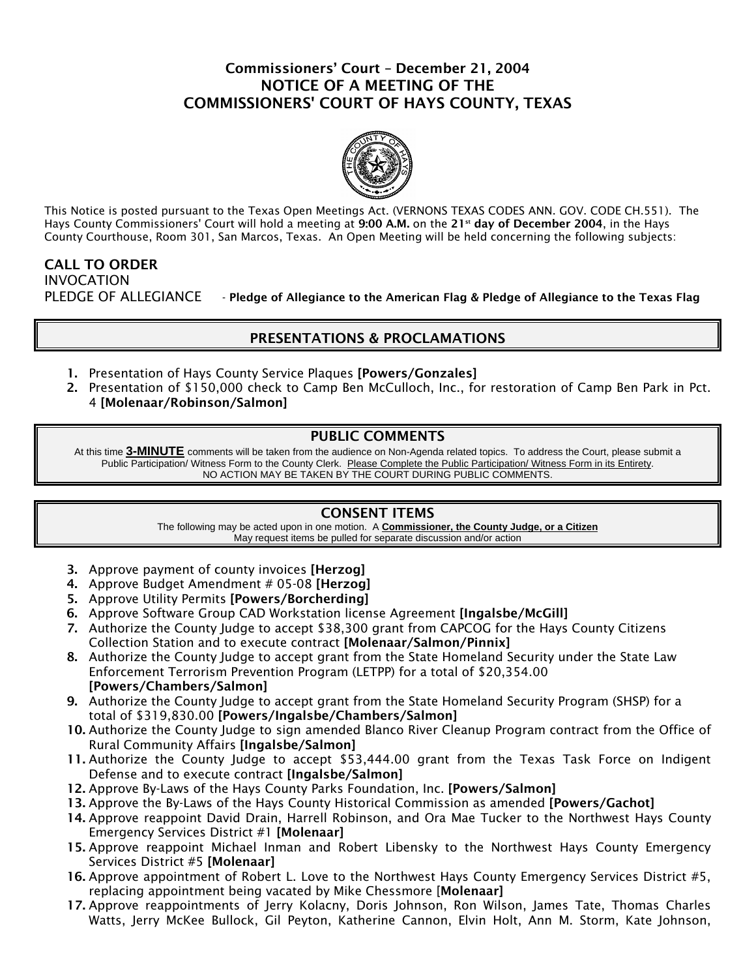# Commissioners' Court – December 21, 2004 NOTICE OF A MEETING OF THE COMMISSIONERS' COURT OF HAYS COUNTY, TEXAS



This Notice is posted pursuant to the Texas Open Meetings Act. (VERNONS TEXAS CODES ANN. GOV. CODE CH.551). The Hays County Commissioners' Court will hold a meeting at 9:00 A.M. on the 21<sup>st</sup> day of December 2004, in the Hays County Courthouse, Room 301, San Marcos, Texas. An Open Meeting will be held concerning the following subjects:

CALL TO ORDER INVOCATION PLEDGE OF ALLEGIANCE - Pledge of Allegiance to the American Flag & Pledge of Allegiance to the Texas Flag

## PRESENTATIONS & PROCLAMATIONS

- 1. Presentation of Hays County Service Plaques [Powers/Gonzales]
- 2. Presentation of \$150,000 check to Camp Ben McCulloch, Inc., for restoration of Camp Ben Park in Pct. 4 [Molenaar/Robinson/Salmon]

## PUBLIC COMMENTS

At this time **3-MINUTE** comments will be taken from the audience on Non-Agenda related topics. To address the Court, please submit a Public Participation/ Witness Form to the County Clerk. Please Complete the Public Participation/ Witness Form in its Entirety. NO ACTION MAY BE TAKEN BY THE COURT DURING PUBLIC COMMENTS.

## CONSENT ITEMS

The following may be acted upon in one motion. A **Commissioner, the County Judge, or a Citizen** May request items be pulled for separate discussion and/or action

- 3. Approve payment of county invoices [Herzog]
- 4. Approve Budget Amendment # 05-08 [Herzog]
- 5. Approve Utility Permits [Powers/Borcherding]
- 6. Approve Software Group CAD Workstation license Agreement [Ingalsbe/McGill]
- 7. Authorize the County Judge to accept \$38,300 grant from CAPCOG for the Hays County Citizens Collection Station and to execute contract [Molenaar/Salmon/Pinnix]
- 8. Authorize the County Judge to accept grant from the State Homeland Security under the State Law Enforcement Terrorism Prevention Program (LETPP) for a total of \$20,354.00 [Powers/Chambers/Salmon]
- 9. Authorize the County Judge to accept grant from the State Homeland Security Program (SHSP) for a total of \$319,830.00 [Powers/Ingalsbe/Chambers/Salmon]
- 10. Authorize the County Judge to sign amended Blanco River Cleanup Program contract from the Office of Rural Community Affairs [Ingalsbe/Salmon]
- 11. Authorize the County Judge to accept \$53,444.00 grant from the Texas Task Force on Indigent Defense and to execute contract [Ingalsbe/Salmon]
- 12. Approve By-Laws of the Hays County Parks Foundation, Inc. [Powers/Salmon]
- 13. Approve the By-Laws of the Hays County Historical Commission as amended [Powers/Gachot]
- 14. Approve reappoint David Drain, Harrell Robinson, and Ora Mae Tucker to the Northwest Hays County Emergency Services District #1 [Molenaar]
- 15. Approve reappoint Michael Inman and Robert Libensky to the Northwest Hays County Emergency Services District #5 [Molenaar]
- 16. Approve appointment of Robert L. Love to the Northwest Hays County Emergency Services District #5, replacing appointment being vacated by Mike Chessmore [Molenaar]
- 17. Approve reappointments of Jerry Kolacny, Doris Johnson, Ron Wilson, James Tate, Thomas Charles Watts, Jerry McKee Bullock, Gil Peyton, Katherine Cannon, Elvin Holt, Ann M. Storm, Kate Johnson,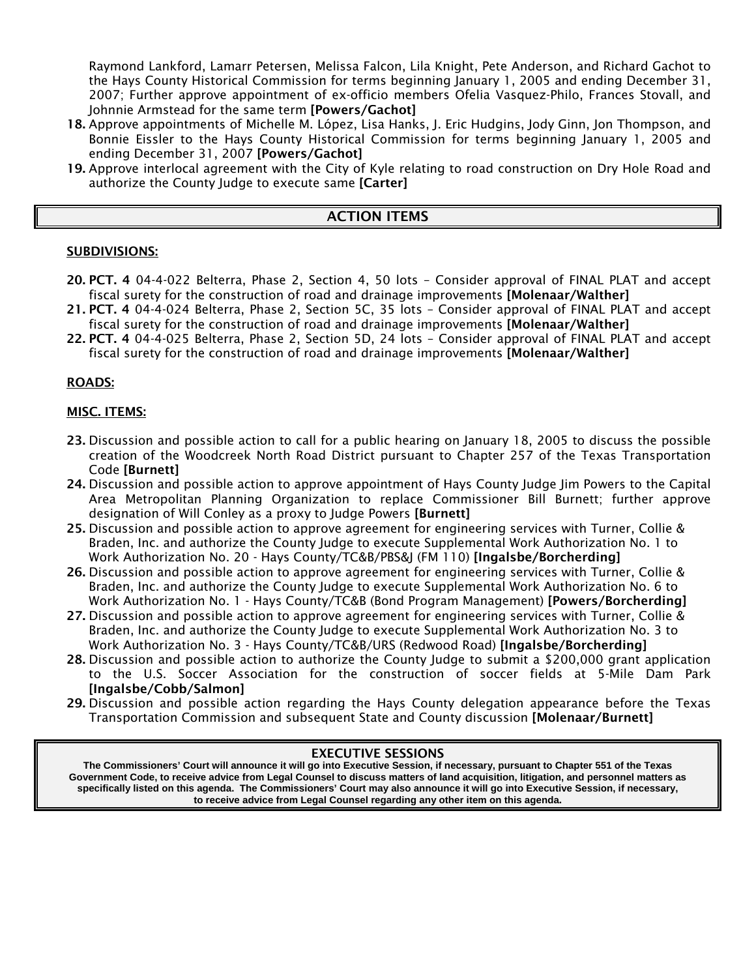Raymond Lankford, Lamarr Petersen, Melissa Falcon, Lila Knight, Pete Anderson, and Richard Gachot to the Hays County Historical Commission for terms beginning January 1, 2005 and ending December 31, 2007; Further approve appointment of ex-officio members Ofelia Vasquez-Philo, Frances Stovall, and Johnnie Armstead for the same term [Powers/Gachot]

- 18. Approve appointments of Michelle M. López, Lisa Hanks, J. Eric Hudgins, Jody Ginn, Jon Thompson, and Bonnie Eissler to the Hays County Historical Commission for terms beginning January 1, 2005 and ending December 31, 2007 [Powers/Gachot]
- 19. Approve interlocal agreement with the City of Kyle relating to road construction on Dry Hole Road and authorize the County Judge to execute same [Carter]

## ACTION ITEMS

### SUBDIVISIONS:

- 20. PCT. 4 04-4-022 Belterra, Phase 2, Section 4, 50 lots Consider approval of FINAL PLAT and accept fiscal surety for the construction of road and drainage improvements [Molenaar/Walther]
- 21. PCT. 4 04-4-024 Belterra, Phase 2, Section 5C, 35 lots Consider approval of FINAL PLAT and accept fiscal surety for the construction of road and drainage improvements [Molenaar/Walther]
- 22. PCT. 4 04-4-025 Belterra, Phase 2, Section 5D, 24 lots Consider approval of FINAL PLAT and accept fiscal surety for the construction of road and drainage improvements [Molenaar/Walther]

### ROADS:

### MISC. ITEMS:

- 23. Discussion and possible action to call for a public hearing on January 18, 2005 to discuss the possible creation of the Woodcreek North Road District pursuant to Chapter 257 of the Texas Transportation Code [Burnett]
- 24. Discussion and possible action to approve appointment of Hays County Judge Jim Powers to the Capital Area Metropolitan Planning Organization to replace Commissioner Bill Burnett; further approve designation of Will Conley as a proxy to Judge Powers [Burnett]
- 25. Discussion and possible action to approve agreement for engineering services with Turner, Collie & Braden, Inc. and authorize the County Judge to execute Supplemental Work Authorization No. 1 to Work Authorization No. 20 - Hays County/TC&B/PBS&J (FM 110) [Ingalsbe/Borcherding]
- 26. Discussion and possible action to approve agreement for engineering services with Turner, Collie & Braden, Inc. and authorize the County Judge to execute Supplemental Work Authorization No. 6 to Work Authorization No. 1 - Hays County/TC&B (Bond Program Management) [Powers/Borcherding]
- 27. Discussion and possible action to approve agreement for engineering services with Turner, Collie & Braden, Inc. and authorize the County Judge to execute Supplemental Work Authorization No. 3 to Work Authorization No. 3 - Hays County/TC&B/URS (Redwood Road) [Ingalsbe/Borcherding]
- 28. Discussion and possible action to authorize the County Judge to submit a \$200,000 grant application to the U.S. Soccer Association for the construction of soccer fields at 5-Mile Dam Park [Ingalsbe/Cobb/Salmon]
- 29. Discussion and possible action regarding the Hays County delegation appearance before the Texas Transportation Commission and subsequent State and County discussion [Molenaar/Burnett]

#### EXECUTIVE SESSIONS

**The Commissioners' Court will announce it will go into Executive Session, if necessary, pursuant to Chapter 551 of the Texas Government Code, to receive advice from Legal Counsel to discuss matters of land acquisition, litigation, and personnel matters as specifically listed on this agenda. The Commissioners' Court may also announce it will go into Executive Session, if necessary, to receive advice from Legal Counsel regarding any other item on this agenda**.